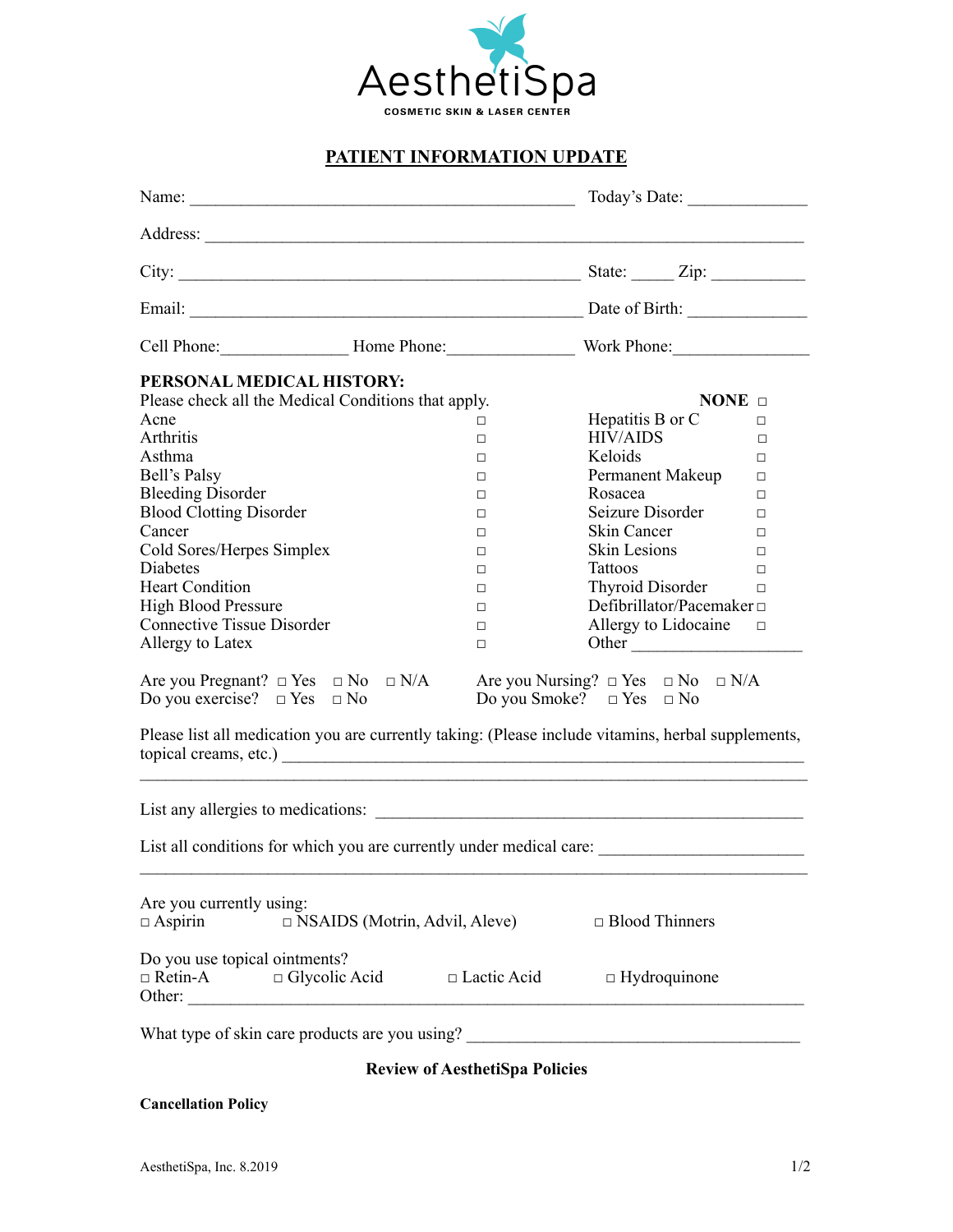

## **PATIENT INFORMATION UPDATE**

|                                                                                                                                                                                                                                                                                         |                                      |        | Today's Date:                                                                     |        |  |  |
|-----------------------------------------------------------------------------------------------------------------------------------------------------------------------------------------------------------------------------------------------------------------------------------------|--------------------------------------|--------|-----------------------------------------------------------------------------------|--------|--|--|
|                                                                                                                                                                                                                                                                                         |                                      |        |                                                                                   |        |  |  |
|                                                                                                                                                                                                                                                                                         |                                      |        |                                                                                   |        |  |  |
|                                                                                                                                                                                                                                                                                         |                                      |        |                                                                                   |        |  |  |
|                                                                                                                                                                                                                                                                                         |                                      |        |                                                                                   |        |  |  |
| PERSONAL MEDICAL HISTORY:                                                                                                                                                                                                                                                               |                                      |        |                                                                                   |        |  |  |
| Please check all the Medical Conditions that apply.                                                                                                                                                                                                                                     |                                      |        | NONE $\Box$                                                                       |        |  |  |
| Acne                                                                                                                                                                                                                                                                                    |                                      | $\Box$ | Hepatitis B or C                                                                  | $\Box$ |  |  |
| Arthritis                                                                                                                                                                                                                                                                               |                                      | $\Box$ | <b>HIV/AIDS</b>                                                                   | $\Box$ |  |  |
| Asthma                                                                                                                                                                                                                                                                                  |                                      | $\Box$ | Keloids                                                                           | $\Box$ |  |  |
| Bell's Palsy                                                                                                                                                                                                                                                                            |                                      | $\Box$ | Permanent Makeup                                                                  | $\Box$ |  |  |
| <b>Bleeding Disorder</b>                                                                                                                                                                                                                                                                |                                      | $\Box$ | Rosacea                                                                           | $\Box$ |  |  |
| <b>Blood Clotting Disorder</b>                                                                                                                                                                                                                                                          |                                      | $\Box$ | Seizure Disorder                                                                  | $\Box$ |  |  |
| Cancer                                                                                                                                                                                                                                                                                  |                                      | $\Box$ | Skin Cancer                                                                       | $\Box$ |  |  |
| Cold Sores/Herpes Simplex                                                                                                                                                                                                                                                               |                                      | $\Box$ | Skin Lesions                                                                      | $\Box$ |  |  |
| <b>Diabetes</b>                                                                                                                                                                                                                                                                         |                                      | $\Box$ | <b>Tattoos</b>                                                                    | $\Box$ |  |  |
| <b>Heart Condition</b>                                                                                                                                                                                                                                                                  |                                      | $\Box$ | Thyroid Disorder $\qquad \Box$                                                    |        |  |  |
| <b>High Blood Pressure</b>                                                                                                                                                                                                                                                              |                                      | $\Box$ | Defibrillator/Pacemaker $\Box$                                                    |        |  |  |
| <b>Connective Tissue Disorder</b>                                                                                                                                                                                                                                                       |                                      | $\Box$ | Allergy to Lidocaine $\square$                                                    |        |  |  |
| Allergy to Latex                                                                                                                                                                                                                                                                        |                                      | $\Box$ | Other                                                                             |        |  |  |
| Are you Pregnant? $\Box$ Yes $\Box$ No $\Box$ N/A Are you Nursing? $\Box$ Yes $\Box$ No $\Box$ N/A<br>Do you exercise? $\Box$ Yes $\Box$ No<br>Do you Smoke? $\Box$ Yes $\Box$ No<br>Please list all medication you are currently taking: (Please include vitamins, herbal supplements, |                                      |        |                                                                                   |        |  |  |
|                                                                                                                                                                                                                                                                                         |                                      |        | List any allergies to medications:                                                |        |  |  |
|                                                                                                                                                                                                                                                                                         |                                      |        |                                                                                   |        |  |  |
| Are you currently using:<br>$\Box$ Aspirin                                                                                                                                                                                                                                              | $\Box$ NSAIDS (Motrin, Advil, Aleve) |        | $\Box$ Blood Thinners                                                             |        |  |  |
| Do you use topical ointments?<br>$\Box$ Retin-A $\Box$ Glycolic Acid $\Box$ Lactic Acid<br>Other:                                                                                                                                                                                       |                                      |        | $\Box$ Hydroquinone                                                               |        |  |  |
|                                                                                                                                                                                                                                                                                         |                                      |        | What type of skin care products are you using? __________________________________ |        |  |  |

# **Review of AesthetiSpa Policies**

### **Cancellation Policy**